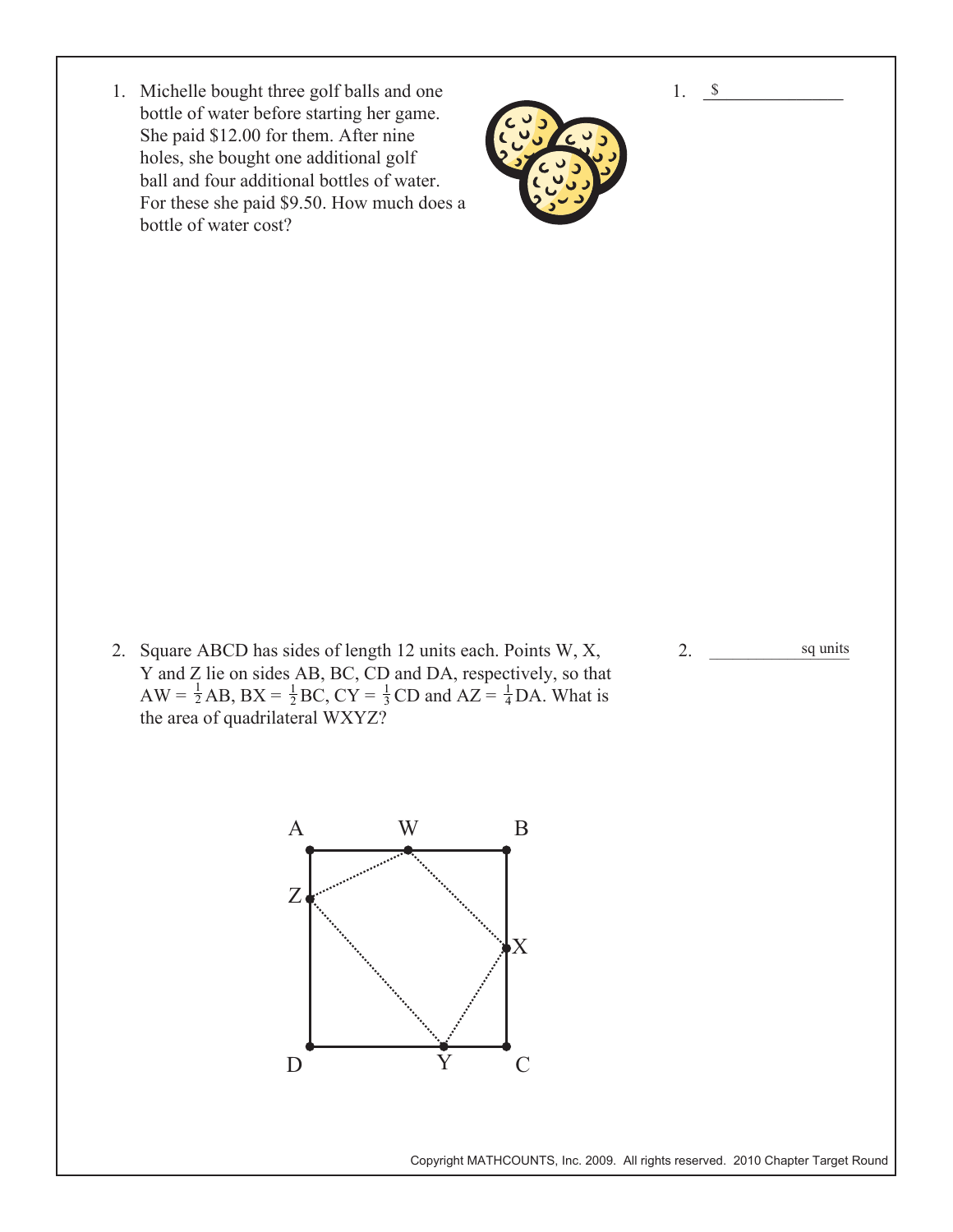1. <u>\$</u>

1. Michelle bought three golf balls and one bottle of water before starting her game. She paid \$12.00 for them. After nine holes, she bought one additional golf ball and four additional bottles of water. For these she paid \$9.50. How much does a bottle of water cost?



2. Square ABCD has sides of length 12 units each. Points W, X, Y and Z lie on sides AB, BC, CD and DA, respectively, so that  $AW = \frac{1}{2}AB$ ,  $BX = \frac{1}{2}BC$ ,  $CY = \frac{1}{3}CD$  and  $AZ = \frac{1}{4}DA$ . What is the area of quadrilateral WXYZ?

2.  $\frac{\text{sq units}}{\text{sq units}}$ 



Copyright MATHCOUNTS, Inc. 2009. All rights reserved. 2010 Chapter Target Round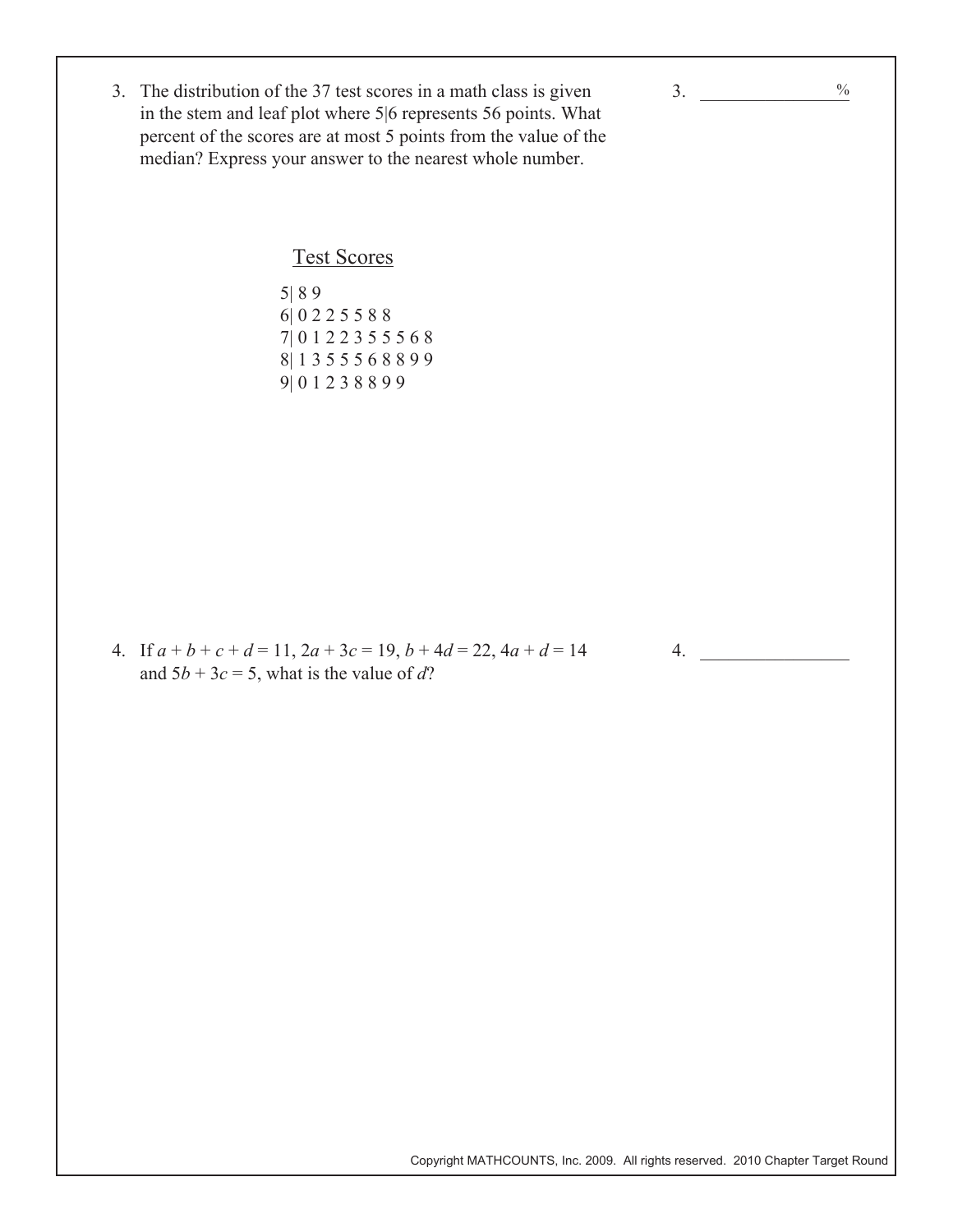3. The distribution of the 37 test scores in a math class is given in the stem and leaf plot where 5|6 represents 56 points. What percent of the scores are at most 5 points from the value of the median? Express your answer to the nearest whole number.

## Test Scores

 5| 8 9 6| 0 2 2 5 5 8 8 7| 0 1 2 2 3 5 5 5 6 8 8| 1 3 5 5 5 6 8 8 9 9 9| 0 1 2 3 8 8 9 9

4. If  $a + b + c + d = 11$ ,  $2a + 3c = 19$ ,  $b + 4d = 22$ ,  $4a + d = 14$ and  $5b + 3c = 5$ , what is the value of d?

Copyright MATHCOUNTS, Inc. 2009. All rights reserved. 2010 Chapter Target Round

 $\frac{0}{0}$ 

3.  $\qquad$ 

 $4.$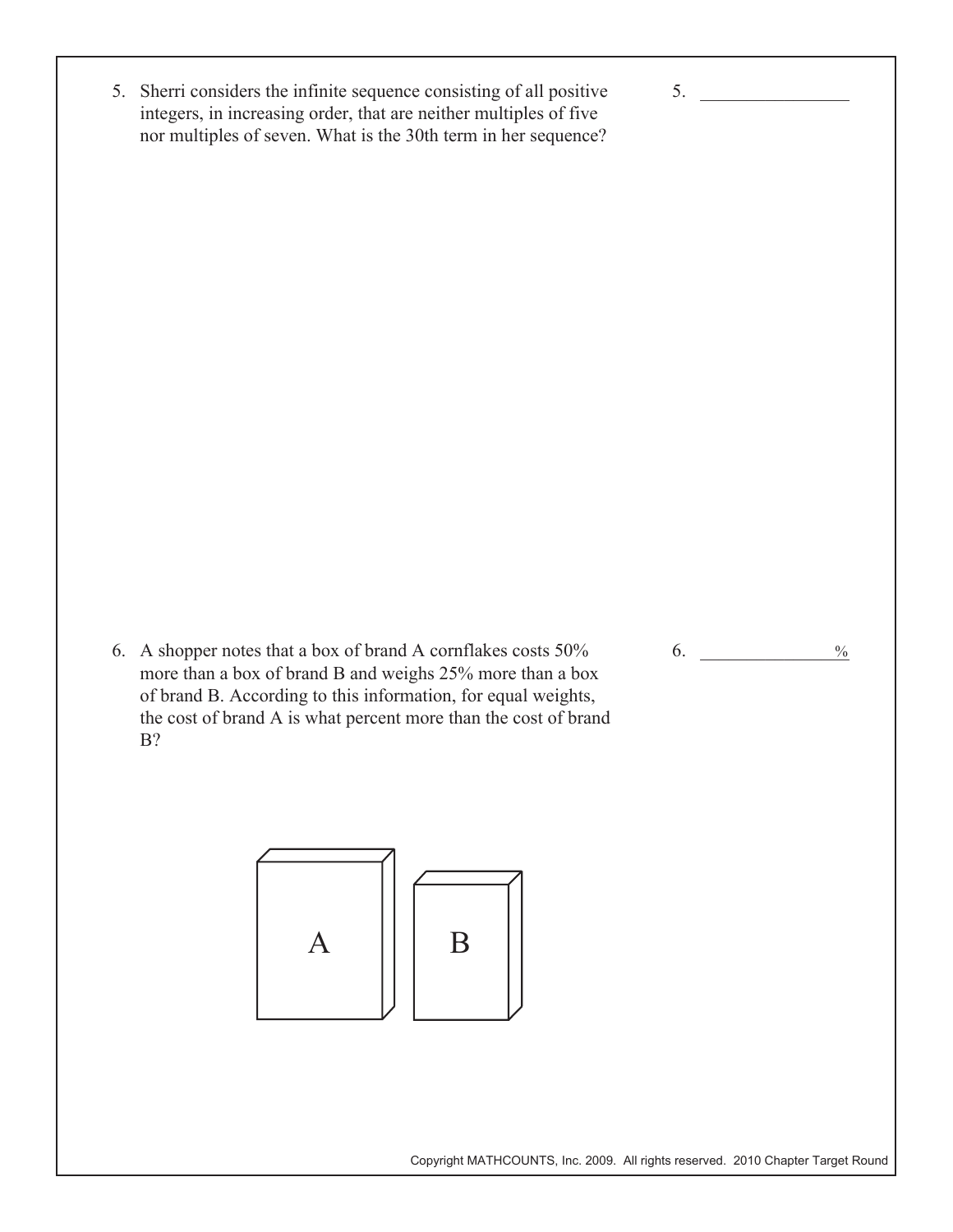5. Sherri considers the infinite sequence consisting of all positive integers, in increasing order, that are neither multiples of five nor multiples of seven. What is the 30th term in her sequence?

6. A shopper notes that a box of brand A cornflakes costs 50% more than a box of brand B and weighs 25% more than a box of brand B. According to this information, for equal weights, the cost of brand A is what percent more than the cost of brand B?



6. \_\_\_\_\_\_\_\_\_\_\_\_\_\_\_\_  $\frac{0}{0}$ 

 $5.$ 

Copyright MATHCOUNTS, Inc. 2009. All rights reserved. 2010 Chapter Target Round